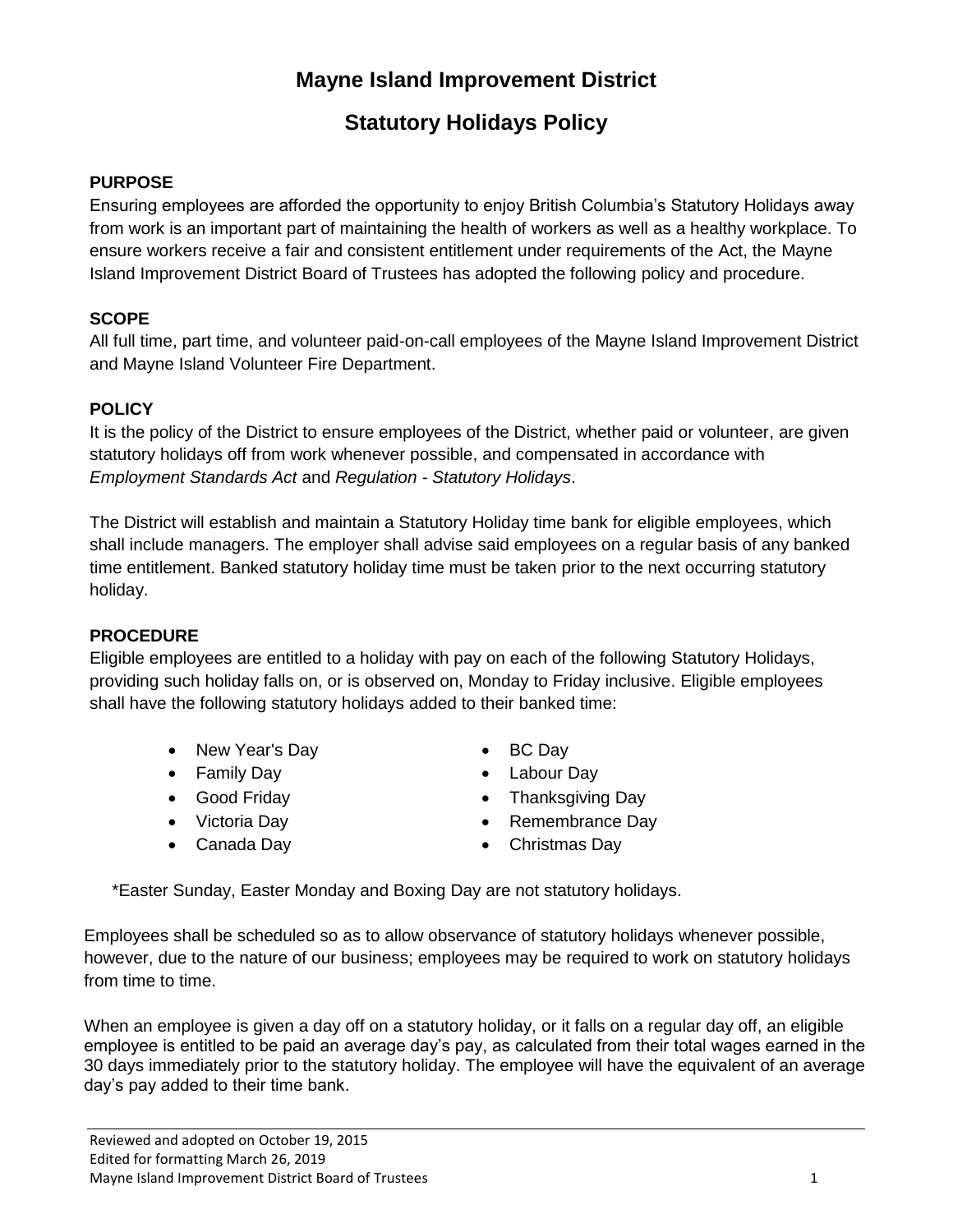## **Mayne Island Improvement District**

# **Statutory Holidays Policy**

#### **PURPOSE**

Ensuring employees are afforded the opportunity to enjoy British Columbia's Statutory Holidays away from work is an important part of maintaining the health of workers as well as a healthy workplace. To ensure workers receive a fair and consistent entitlement under requirements of the Act, the Mayne Island Improvement District Board of Trustees has adopted the following policy and procedure.

## **SCOPE**

All full time, part time, and volunteer paid-on-call employees of the Mayne Island Improvement District and Mayne Island Volunteer Fire Department.

## **POLICY**

It is the policy of the District to ensure employees of the District, whether paid or volunteer, are given statutory holidays off from work whenever possible, and compensated in accordance with *Employment Standards Act* and *Regulation - Statutory Holidays*.

The District will establish and maintain a Statutory Holiday time bank for eligible employees, which shall include managers. The employer shall advise said employees on a regular basis of any banked time entitlement. Banked statutory holiday time must be taken prior to the next occurring statutory holiday.

#### **PROCEDURE**

Eligible employees are entitled to a holiday with pay on each of the following Statutory Holidays, providing such holiday falls on, or is observed on, Monday to Friday inclusive. Eligible employees shall have the following statutory holidays added to their banked time:

- New Year's Day
- Family Day
- Good Friday
- Victoria Day
- Canada Day
- BC Day
- Labour Day
- Thanksgiving Day
- Remembrance Day
- Christmas Day

\*Easter Sunday, Easter Monday and Boxing Day are not statutory holidays.

Employees shall be scheduled so as to allow observance of statutory holidays whenever possible, however, due to the nature of our business; employees may be required to work on statutory holidays from time to time.

When an employee is given a day off on a statutory holiday, or it falls on a regular day off, an eligible employee is entitled to be paid an average day's pay, as calculated from their total wages earned in the 30 days immediately prior to the statutory holiday. The employee will have the equivalent of an average day's pay added to their time bank.